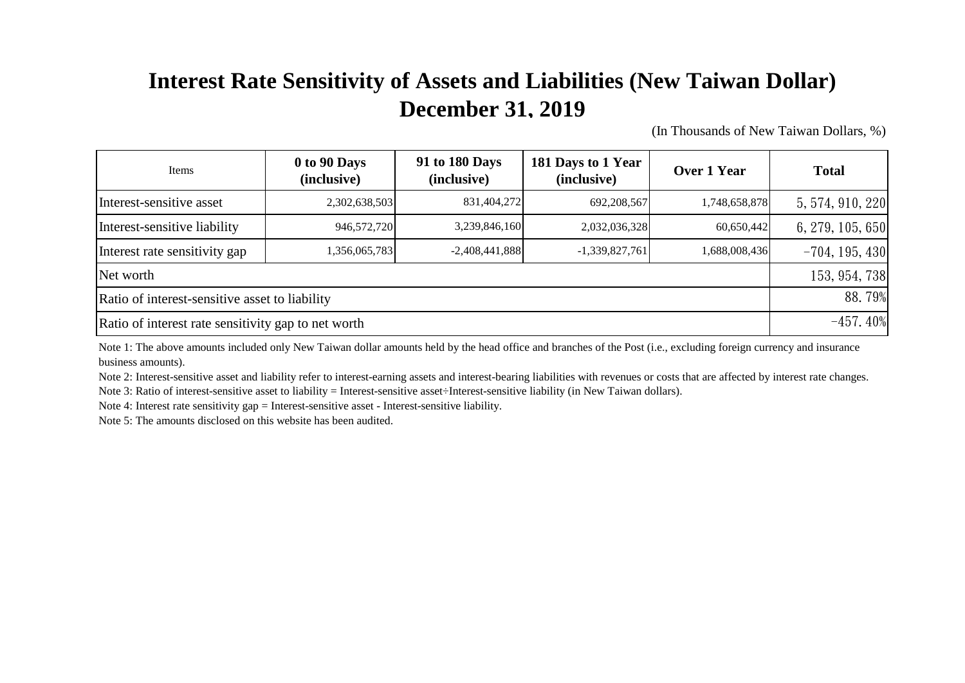## **Interest Rate Sensitivity of Assets and Liabilities (New Taiwan Dollar) December 31, 2019**

(In Thousands of New Taiwan Dollars, %)

| Items                                               | 0 to 90 Days<br>(inclusive) | 91 to 180 Days<br>(inclusive) | 181 Days to 1 Year<br>(inclusive) | Over 1 Year   | <b>Total</b>     |
|-----------------------------------------------------|-----------------------------|-------------------------------|-----------------------------------|---------------|------------------|
| Interest-sensitive asset                            | 2,302,638,503               | 831,404,272                   | 692,208,567                       | 1,748,658,878 | 5, 574, 910, 220 |
| Interest-sensitive liability                        | 946,572,720                 | 3,239,846,160                 | 2,032,036,328                     | 60,650,442    | 6, 279, 105, 650 |
| Interest rate sensitivity gap                       | 1,356,065,783               | $-2,408,441,888$              | $-1,339,827,761$                  | 1,688,008,436 | $-704, 195, 430$ |
| Net worth                                           |                             |                               |                                   |               |                  |
| Ratio of interest-sensitive asset to liability      |                             |                               |                                   |               |                  |
| Ratio of interest rate sensitivity gap to net worth |                             |                               |                                   |               |                  |

Note 1: The above amounts included only New Taiwan dollar amounts held by the head office and branches of the Post (i.e., excluding foreign currency and insurance business amounts).

Note 2: Interest-sensitive asset and liability refer to interest-earning assets and interest-bearing liabilities with revenues or costs that are affected by interest rate changes.

Note 3: Ratio of interest-sensitive asset to liability = Interest-sensitive asset÷Interest-sensitive liability (in New Taiwan dollars).

Note 4: Interest rate sensitivity gap = Interest-sensitive asset - Interest-sensitive liability.

Note 5: The amounts disclosed on this website has been audited.